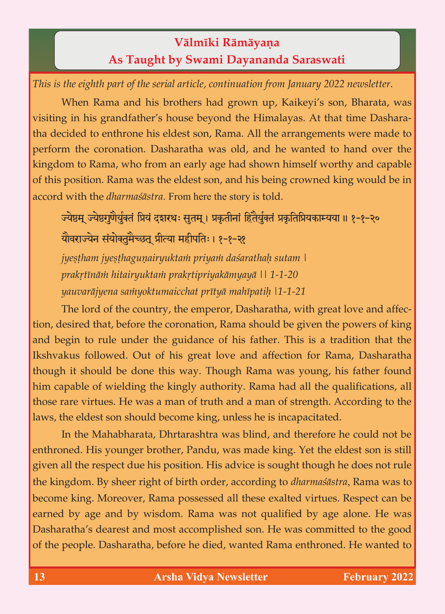## **Välméki Rämäyaëa As Taught by Swami Dayananda Saraswati**

*This is the eighth part of the serial article, continuation from January 2022 newsletter.*

When Rama and his brothers had grown up, Kaikeyi's son, Bharata, was visiting in his grandfather's house beyond the Himalayas. At that time Dasharatha decided to enthrone his eldest son, Rama. All the arrangements were made to perform the coronation. Dasharatha was old, and he wanted to hand over the kingdom to Rama, who from an early age had shown himself worthy and capable of this position. Rama was the eldest son, and his being crowned king would be in accord with the *dharmaçästra*. From here the story is told.

ज्येष्ठम् ज्येष्ठगुणैर्युक्तं प्रियं दशरथः सूतम् । प्रकृतीनां हितैर्युक्तं प्रकृतिप्रियकाम्यया ॥ १-१-२० यौवराज्येन संयोक्तमैच्छत प्रीत्या महीपतिः । १-१-२१

*jyeṣṭham jyeṣṭhaguṇairyuktaṁ priyaṁ daśarathaḥ sutam \*<br>prakṛtīnāṁ hitairyuktaṁ prakṛtipriyakāmyayā \\ 1-1-20 *prakåténäà hitairyuktaà prakåtipriyakämyayä || 1-1-20 yauvaräjyena saàyoktumaicchat prétyä mahépatiù |1-1-21*

The lord of the country, the emperor, Dasharatha, with great love and affection, desired that, before the coronation, Rama should be given the powers of king and begin to rule under the guidance of his father. This is a tradition that the Ikshvakus followed. Out of his great love and affection for Rama, Dasharatha though it should be done this way. Though Rama was young, his father found him capable of wielding the kingly authority. Rama had all the qualifications, all those rare virtues. He was a man of truth and a man of strength. According to the laws, the eldest son should become king, unless he is incapacitated.

In the Mahabharata, Dhrtarashtra was blind, and therefore he could not be enthroned. His younger brother, Pandu, was made king. Yet the eldest son is still given all the respect due his position. His advice is sought though he does not rule the kingdom. By sheer right of birth order, according to *dharmaçästra*, Rama was to become king. Moreover, Rama possessed all these exalted virtues. Respect can be earned by age and by wisdom. Rama was not qualified by age alone. He was Dasharatha's dearest and most accomplished son. He was committed to the good of the people. Dasharatha, before he died, wanted Rama enthroned. He wanted to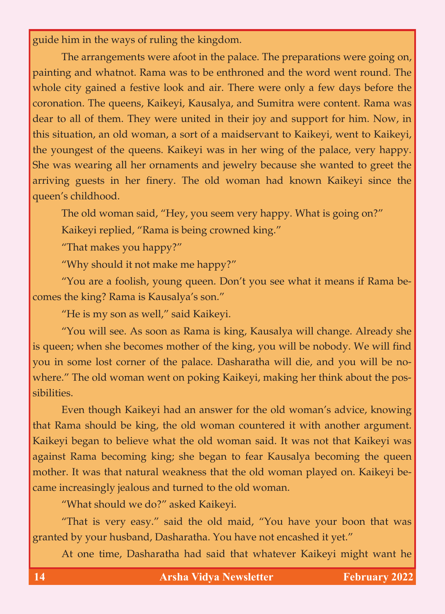guide him in the ways of ruling the kingdom.

The arrangements were afoot in the palace. The preparations were going on, painting and whatnot. Rama was to be enthroned and the word went round. The whole city gained a festive look and air. There were only a few days before the coronation. The queens, Kaikeyi, Kausalya, and Sumitra were content. Rama was dear to all of them. They were united in their joy and support for him. Now, in this situation, an old woman, a sort of a maidservant to Kaikeyi, went to Kaikeyi, the youngest of the queens. Kaikeyi was in her wing of the palace, very happy. She was wearing all her ornaments and jewelry because she wanted to greet the arriving guests in her finery. The old woman had known Kaikeyi since the queen's childhood.

The old woman said, "Hey, you seem very happy. What is going on?"

Kaikeyi replied, "Rama is being crowned king."

"That makes you happy?"

"Why should it not make me happy?"

"You are a foolish, young queen. Don't you see what it means if Rama becomes the king? Rama is Kausalya's son."

"He is my son as well," said Kaikeyi.

"You will see. As soon as Rama is king, Kausalya will change. Already she is queen; when she becomes mother of the king, you will be nobody. We will find you in some lost corner of the palace. Dasharatha will die, and you will be nowhere." The old woman went on poking Kaikeyi, making her think about the possibilities.

Even though Kaikeyi had an answer for the old woman's advice, knowing that Rama should be king, the old woman countered it with another argument. Kaikeyi began to believe what the old woman said. It was not that Kaikeyi was against Rama becoming king; she began to fear Kausalya becoming the queen mother. It was that natural weakness that the old woman played on. Kaikeyi became increasingly jealous and turned to the old woman.

"What should we do?" asked Kaikeyi.

"That is very easy." said the old maid, "You have your boon that was granted by your husband, Dasharatha. You have not encashed it yet."

At one time, Dasharatha had said that whatever Kaikeyi might want he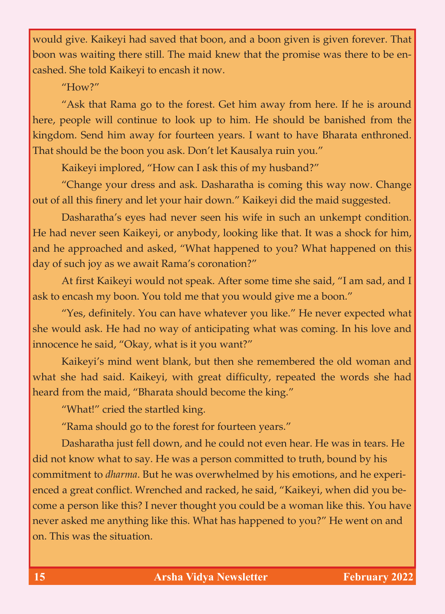would give. Kaikeyi had saved that boon, and a boon given is given forever. That boon was waiting there still. The maid knew that the promise was there to be encashed. She told Kaikeyi to encash it now.

"How?"

"Ask that Rama go to the forest. Get him away from here. If he is around here, people will continue to look up to him. He should be banished from the kingdom. Send him away for fourteen years. I want to have Bharata enthroned. That should be the boon you ask. Don't let Kausalya ruin you."

Kaikeyi implored, "How can I ask this of my husband?"

"Change your dress and ask. Dasharatha is coming this way now. Change out of all this finery and let your hair down." Kaikeyi did the maid suggested.

Dasharatha's eyes had never seen his wife in such an unkempt condition. He had never seen Kaikeyi, or anybody, looking like that. It was a shock for him, and he approached and asked, "What happened to you? What happened on this day of such joy as we await Rama's coronation?"

At first Kaikeyi would not speak. After some time she said, "I am sad, and I ask to encash my boon. You told me that you would give me a boon."

"Yes, definitely. You can have whatever you like." He never expected what she would ask. He had no way of anticipating what was coming. In his love and innocence he said, "Okay, what is it you want?"

Kaikeyi's mind went blank, but then she remembered the old woman and what she had said. Kaikeyi, with great difficulty, repeated the words she had heard from the maid, "Bharata should become the king."

"What!" cried the startled king.

"Rama should go to the forest for fourteen years."

Dasharatha just fell down, and he could not even hear. He was in tears. He did not know what to say. He was a person committed to truth, bound by his commitment to *dharma*. But he was overwhelmed by his emotions, and he experienced a great conflict. Wrenched and racked, he said, "Kaikeyi, when did you become a person like this? I never thought you could be a woman like this. You have never asked me anything like this. What has happened to you?" He went on and on. This was the situation.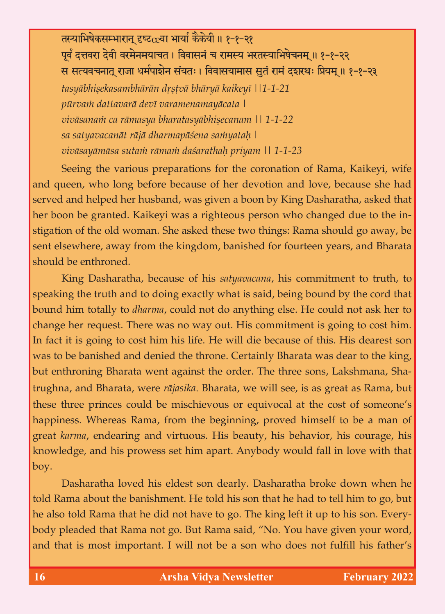तस्याभिषेकसम्भारान् दृष्ट $c$ वा भार्या कैकेयी ॥ १-१-२१ पूर्वं दत्तवरा देवी वरमेनमयाचत । विवासनं च रामस्य भरतस्याभिषेचनम् ॥ १-१-२२ स सत्यवचनातू राजा धर्मपाशेन संयतः । विवासयामास सूतं रामं दशरथः प्रियम् ॥ १-१-२३ *tasyābhiṣekasambhārān dṛṣṭvā bhāryā kaikeyī ||1-1-21 pūrvaṁ dattavarā devī varamenamayācata | pürvaà dattavarä devé varamenamayäcata | viväsanaà ca rämasya bharatasyäbhiñecanam || 1-1-22 sa satyavacanät räjä dharmapäçena saàyataù |*

*viväsayämäsa sutaà rämaà daçarathaù priyam || 1-1-23* Seeing the various preparations for the coronation of Rama, Kaikeyi, wife and queen, who long before because of her devotion and love, because she had served and helped her husband, was given a boon by King Dasharatha, asked that her boon be granted. Kaikeyi was a righteous person who changed due to the instigation of the old woman. She asked these two things: Rama should go away, be sent elsewhere, away from the kingdom, banished for fourteen years, and Bharata should be enthroned.

King Dasharatha, because of his *satyavacana*, his commitment to truth, to speaking the truth and to doing exactly what is said, being bound by the cord that bound him totally to *dharma*, could not do anything else. He could not ask her to change her request. There was no way out. His commitment is going to cost him. In fact it is going to cost him his life. He will die because of this. His dearest son was to be banished and denied the throne. Certainly Bharata was dear to the king, but enthroning Bharata went against the order. The three sons, Lakshmana, Shatrughna, and Bharata, were *räjasika*. Bharata, we will see, is as great as Rama, but these three princes could be mischievous or equivocal at the cost of someone's happiness. Whereas Rama, from the beginning, proved himself to be a man of great *karma*, endearing and virtuous. His beauty, his behavior, his courage, his knowledge, and his prowess set him apart. Anybody would fall in love with that boy.

Dasharatha loved his eldest son dearly. Dasharatha broke down when he told Rama about the banishment. He told his son that he had to tell him to go, but he also told Rama that he did not have to go. The king left it up to his son. Everybody pleaded that Rama not go. But Rama said, "No. You have given your word, and that is most important. I will not be a son who does not fulfill his father's